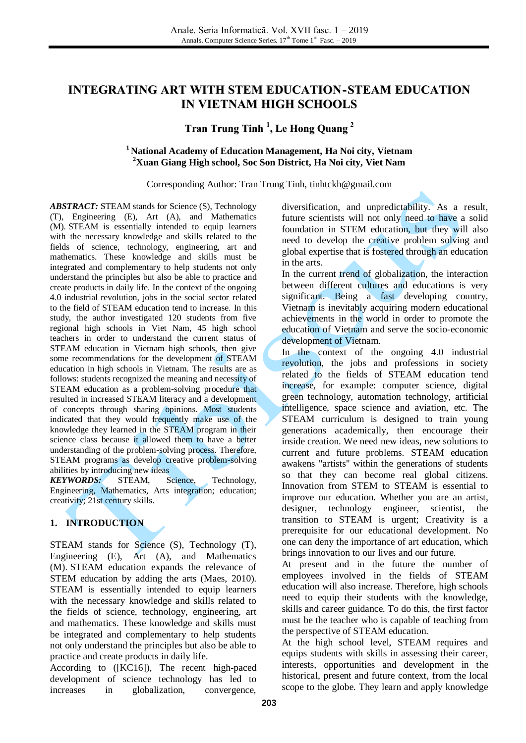# **INTEGRATING ART WITH STEM EDUCATION-STEAM EDUCATION IN VIETNAM HIGH SCHOOLS**

# **Tran Trung Tinh 1 , Le Hong Quang 2**

#### **<sup>1</sup> National Academy of Education Management, Ha Noi city, Vietnam <sup>2</sup>Xuan Giang High school, Soc Son District, Ha Noi city, Viet Nam**

#### Corresponding Author: Tran Trung Tinh, [tinhtckh@gmail.com](mailto:tinhtckh@gmail.com)

*ABSTRACT:* STEAM stands for Science (S), Technology (T), Engineering (E), Art (A), and Mathematics (M). STEAM is essentially intended to equip learners with the necessary knowledge and skills related to the fields of science, technology, engineering, art and mathematics. These knowledge and skills must be integrated and complementary to help students not only understand the principles but also be able to practice and create products in daily life. In the context of the ongoing 4.0 industrial revolution, jobs in the social sector related to the field of STEAM education tend to increase. In this study, the author investigated 120 students from five regional high schools in Viet Nam, 45 high school teachers in order to understand the current status of STEAM education in Vietnam high schools, then give some recommendations for the development of STEAM education in high schools in Vietnam. The results are as follows: students recognized the meaning and necessity of STEAM education as a problem-solving procedure that resulted in increased STEAM literacy and a development of concepts through sharing opinions. Most students indicated that they would frequently make use of the knowledge they learned in the STEAM program in their science class because it allowed them to have a better understanding of the problem-solving process. Therefore, STEAM programs as develop creative problem-solving abilities by introducing new ideas

*KEYWORDS:* STEAM, Science, Technology, Engineering, Mathematics, Arts integration; education; creativity; 21st century skills.

# **1. INTRODUCTION**

STEAM stands for Science (S), Technology (T), Engineering (E), Art (A), and Mathematics (M). STEAM education expands the relevance of STEM education by adding the arts (Maes, 2010). STEAM is essentially intended to equip learners with the necessary knowledge and skills related to the fields of science, technology, engineering, art and mathematics. These knowledge and skills must be integrated and complementary to help students not only understand the principles but also be able to practice and create products in daily life.

According to ([KC16]), The recent high-paced development of science technology has led to increases in globalization, convergence,

diversification, and unpredictability. As a result, future scientists will not only need to have a solid foundation in STEM education, but they will also need to develop the creative problem solving and global expertise that is fostered through an education in the arts.

In the current trend of globalization, the interaction between different cultures and educations is very significant. Being a fast developing country, Vietnam is inevitably acquiring modern educational achievements in the world in order to promote the education of Vietnam and serve the socio-economic development of Vietnam.

In the context of the ongoing 4.0 industrial revolution, the jobs and professions in society related to the fields of STEAM education tend increase, for example: computer science, digital green technology, automation technology, artificial intelligence, space science and aviation, etc. The STEAM curriculum is designed to train young generations academically, then encourage their inside creation. We need new ideas, new solutions to current and future problems. STEAM education awakens "artists" within the generations of students so that they can become real global citizens. Innovation from STEM to STEAM is essential to improve our education. Whether you are an artist, designer, technology engineer, scientist, the transition to STEAM is urgent; Creativity is a prerequisite for our educational development. No one can deny the importance of art education, which brings innovation to our lives and our future.

At present and in the future the number of employees involved in the fields of STEAM education will also increase. Therefore, high schools need to equip their students with the knowledge, skills and career guidance. To do this, the first factor must be the teacher who is capable of teaching from the perspective of STEAM education.

At the high school level, STEAM requires and equips students with skills in assessing their career, interests, opportunities and development in the historical, present and future context, from the local scope to the globe. They learn and apply knowledge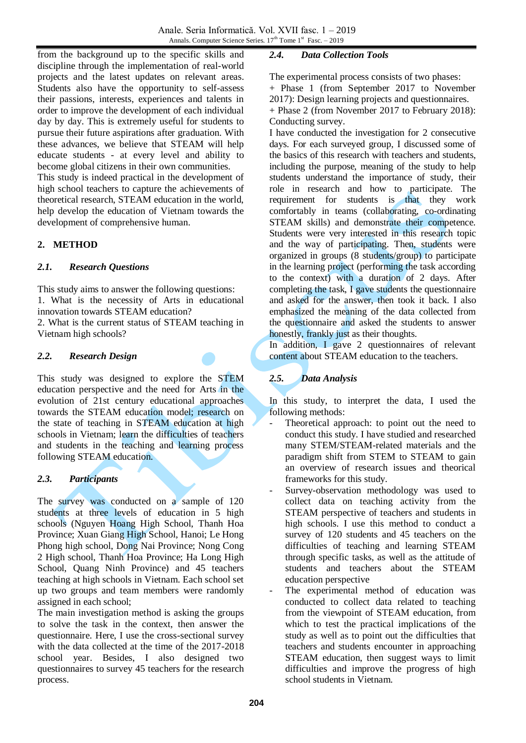from the background up to the specific skills and discipline through the implementation of real-world projects and the latest updates on relevant areas. Students also have the opportunity to self-assess their passions, interests, experiences and talents in order to improve the development of each individual day by day. This is extremely useful for students to pursue their future aspirations after graduation. With these advances, we believe that STEAM will help educate students - at every level and ability to become global citizens in their own communities.

This study is indeed practical in the development of high school teachers to capture the achievements of theoretical research, STEAM education in the world, help develop the education of Vietnam towards the development of comprehensive human.

## **2. METHOD**

## *2.1. Research Questions*

This study aims to answer the following questions: 1. What is the necessity of Arts in educational innovation towards STEAM education? 2. What is the current status of STEAM teaching in Vietnam high schools?

### *2.2. Research Design*

This study was designed to explore the STEM education perspective and the need for Arts in the evolution of 21st century educational approaches towards the STEAM education model; research on the state of teaching in STEAM education at high schools in Vietnam; learn the difficulties of teachers and students in the teaching and learning process following STEAM education.

### *2.3. Participants*

The survey was conducted on a sample of 120 students at three levels of education in 5 high schools (Nguyen Hoang High School, Thanh Hoa Province; Xuan Giang High School, Hanoi; Le Hong Phong high school, Dong Nai Province; Nong Cong 2 High school, Thanh Hoa Province; Ha Long High School, Quang Ninh Province) and 45 teachers teaching at high schools in Vietnam. Each school set up two groups and team members were randomly assigned in each school;

The main investigation method is asking the groups to solve the task in the context, then answer the questionnaire. Here, I use the cross-sectional survey with the data collected at the time of the 2017-2018 school year. Besides, I also designed two questionnaires to survey 45 teachers for the research process.

## *2.4. Data Collection Tools*

The experimental process consists of two phases:

- + Phase 1 (from September 2017 to November
- 2017): Design learning projects and questionnaires.
- + Phase 2 (from November 2017 to February 2018): Conducting survey.

I have conducted the investigation for 2 consecutive days. For each surveyed group, I discussed some of the basics of this research with teachers and students, including the purpose, meaning of the study to help students understand the importance of study, their role in research and how to participate. The requirement for students is that they work comfortably in teams (collaborating, co-ordinating STEAM skills) and demonstrate their competence. Students were very interested in this research topic and the way of participating. Then, students were organized in groups (8 students/group) to participate in the learning project (performing the task according to the context) with a duration of 2 days. After completing the task, I gave students the questionnaire and asked for the answer, then took it back. I also emphasized the meaning of the data collected from the questionnaire and asked the students to answer honestly, frankly just as their thoughts.

In addition, I gave 2 questionnaires of relevant content about STEAM education to the teachers.

# *2.5. Data Analysis*

In this study, to interpret the data, I used the following methods:

- Theoretical approach: to point out the need to conduct this study. I have studied and researched many STEM/STEAM-related materials and the paradigm shift from STEM to STEAM to gain an overview of research issues and theorical frameworks for this study.
- Survey-observation methodology was used to collect data on teaching activity from the STEAM perspective of teachers and students in high schools. I use this method to conduct a survey of 120 students and 45 teachers on the difficulties of teaching and learning STEAM through specific tasks, as well as the attitude of students and teachers about the STEAM education perspective
- The experimental method of education was conducted to collect data related to teaching from the viewpoint of STEAM education, from which to test the practical implications of the study as well as to point out the difficulties that teachers and students encounter in approaching STEAM education, then suggest ways to limit difficulties and improve the progress of high school students in Vietnam.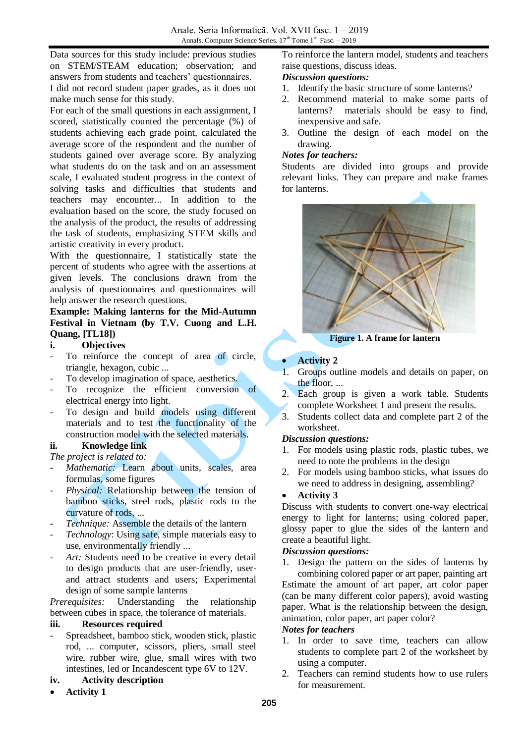Data sources for this study include: previous studies on STEM/STEAM education; observation; and answers from students and teachers' questionnaires. I did not record student paper grades, as it does not

make much sense for this study.

For each of the small questions in each assignment, I scored, statistically counted the percentage (%) of students achieving each grade point, calculated the average score of the respondent and the number of students gained over average score. By analyzing what students do on the task and on an assessment scale, I evaluated student progress in the context of solving tasks and difficulties that students and teachers may encounter... In addition to the evaluation based on the score, the study focused on the analysis of the product, the results of addressing the task of students, emphasizing STEM skills and artistic creativity in every product.

With the questionnaire, I statistically state the percent of students who agree with the assertions at given levels. The conclusions drawn from the analysis of questionnaires and questionnaires will help answer the research questions.

**Example: Making lanterns for the Mid-Autumn Festival in Vietnam (by T.V. Cuong and L.H. Quang, [TL18])**

#### **i. Objectives**

- To reinforce the concept of area of circle, triangle, hexagon, cubic ...
- To develop imagination of space, aesthetics.
- To recognize the efficient conversion of electrical energy into light.
- To design and build models using different materials and to test the functionality of the construction model with the selected materials.

### **ii. Knowledge link**

- *The project is related to:*
- Mathematic: Learn about units, scales, area formulas, some figures
- Physical: Relationship between the tension of bamboo sticks, steel rods, plastic rods to the curvature of rods, ...
- *Technique:* Assemble the details of the lantern
- *Technology*: Using safe, simple materials easy to use, environmentally friendly ...
- Art: Students need to be creative in every detail to design products that are user-friendly, userand attract students and users; Experimental design of some sample lanterns

*Prerequisites:* Understanding the relationship between cubes in space, the tolerance of materials.

### **iii. Resources required**

- Spreadsheet, bamboo stick, wooden stick, plastic rod, ... computer, scissors, pliers, small steel wire, rubber wire, glue, small wires with two intestines, led or Incandescent type 6V to 12V.

# **iv. Activity description**

**Activity 1**

To reinforce the lantern model, students and teachers raise questions, discuss ideas.

# *Discussion questions:*

- 1. Identify the basic structure of some lanterns?
- 2. Recommend material to make some parts of lanterns? materials should be easy to find, inexpensive and safe.
- 3. Outline the design of each model on the drawing.

#### *Notes for teachers:*

Students are divided into groups and provide relevant links. They can prepare and make frames for lanterns.



**Figure 1. A frame for lantern**

### **Activity 2**

- 1. Groups outline models and details on paper, on the floor, ...
- 2. Each group is given a work table. Students complete Worksheet 1 and present the results.
- 3. Students collect data and complete part 2 of the worksheet.

### *Discussion questions:*

- 1. For models using plastic rods, plastic tubes, we need to note the problems in the design
- 2. For models using bamboo sticks, what issues do we need to address in designing, assembling?

### **Activity 3**

Discuss with students to convert one-way electrical energy to light for lanterns; using colored paper, glossy paper to glue the sides of the lantern and create a beautiful light.

### *Discussion questions:*

1. Design the pattern on the sides of lanterns by combining colored paper or art paper, painting art Estimate the amount of art paper, art color paper (can be many different color papers), avoid wasting paper. What is the relationship between the design, animation, color paper, art paper color?

### *Notes for teachers*

- 1. In order to save time, teachers can allow students to complete part 2 of the worksheet by using a computer.
- 2. Teachers can remind students how to use rulers for measurement.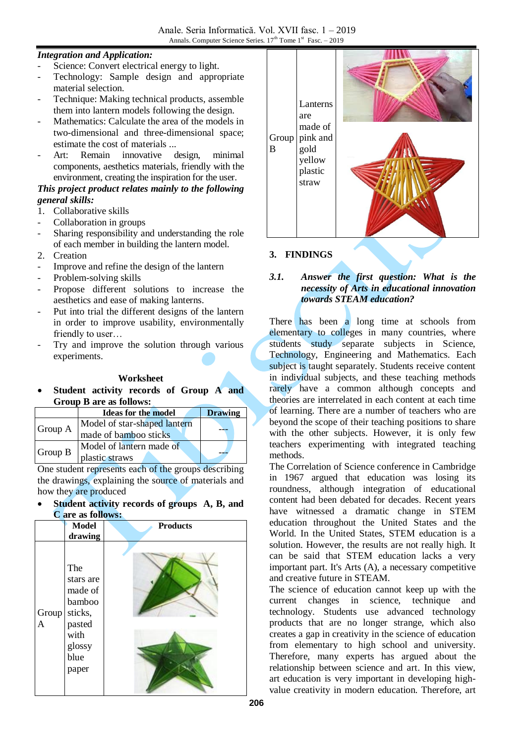## *Integration and Application:*

- Science: Convert electrical energy to light.
- Technology: Sample design and appropriate material selection.
- Technique: Making technical products, assemble them into lantern models following the design.
- Mathematics: Calculate the area of the models in two-dimensional and three-dimensional space; estimate the cost of materials ...
- Art: Remain innovative design, minimal components, aesthetics materials, friendly with the environment, creating the inspiration for the user.

# *This project product relates mainly to the following general skills:*

- 1. Collaborative skills
- Collaboration in groups
- Sharing responsibility and understanding the role of each member in building the lantern model.
- 2. Creation
- Improve and refine the design of the lantern
- Problem-solving skills
- Propose different solutions to increase the aesthetics and ease of making lanterns.
- Put into trial the different designs of the lantern in order to improve usability, environmentally friendly to user…
- Try and improve the solution through various experiments.

#### **Worksheet**

 **Student activity records of Group A and Group B are as follows:**

|         | <b>Ideas for the model</b>   | <b>Drawing</b> |
|---------|------------------------------|----------------|
|         | Model of star-shaped lantern |                |
| Group A | made of bamboo sticks        |                |
|         | Model of lantern made of     |                |
| Group B | plastic straws               |                |

One student represents each of the groups describing the drawings, explaining the source of materials and how they are produced

#### **Student activity records of groups A, B, and C are as follows:**





## **3. FINDINGS**

### *3.1. Answer the first question: What is the necessity of Arts in educational innovation towards STEAM education?*

There has been a long time at schools from elementary to colleges in many countries, where students study separate subjects in Science, Technology, Engineering and Mathematics. Each subject is taught separately. Students receive content in individual subjects, and these teaching methods rarely have a common although concepts and theories are interrelated in each content at each time of learning. There are a number of teachers who are beyond the scope of their teaching positions to share with the other subjects. However, it is only few teachers experimenting with integrated teaching methods.

The Correlation of Science conference in Cambridge in 1967 argued that education was losing its roundness, although integration of educational content had been debated for decades. Recent years have witnessed a dramatic change in STEM education throughout the United States and the World. In the United States, STEM education is a solution. However, the results are not really high. It can be said that STEM education lacks a very important part. It's Arts (A), a necessary competitive and creative future in STEAM.

The science of education cannot keep up with the current changes in science, technique and technology. Students use advanced technology products that are no longer strange, which also creates a gap in creativity in the science of education from elementary to high school and university. Therefore, many experts has argued about the relationship between science and art. In this view, art education is very important in developing highvalue creativity in modern education. Therefore, art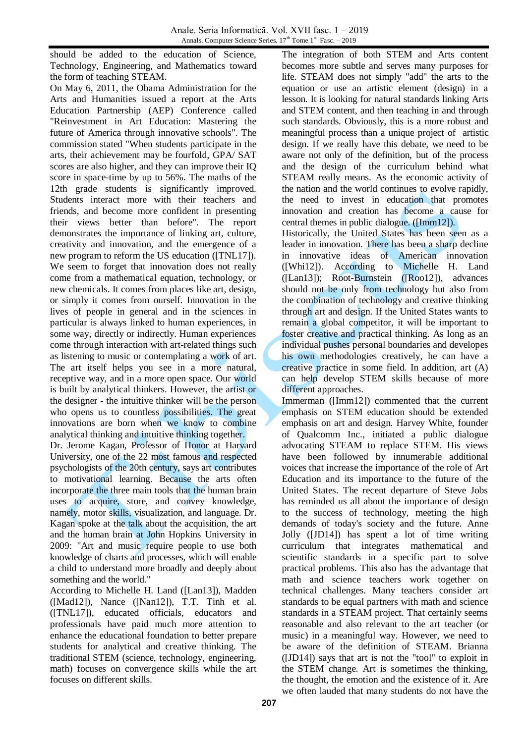should be added to the education of Science, Technology, Engineering, and Mathematics toward the form of teaching STEAM.

On May 6, 2011, the Obama Administration for the Arts and Humanities issued a report at the Arts Education Partnership (AEP) Conference called "Reinvestment in Art Education: Mastering the future of America through innovative schools". The commission stated "When students participate in the arts, their achievement may be fourfold, GPA/ SAT scores are also higher, and they can improve their IQ score in space-time by up to 56%. The maths of the 12th grade students is significantly improved. Students interact more with their teachers and friends, and become more confident in presenting their views better than before". The report demonstrates the importance of linking art, culture, creativity and innovation, and the emergence of a new program to reform the US education ([TNL17]). We seem to forget that innovation does not really come from a mathematical equation, technology, or new chemicals. It comes from places like art, design, or simply it comes from ourself. Innovation in the lives of people in general and in the sciences in particular is always linked to human experiences, in some way, directly or indirectly. Human experiences come through interaction with art-related things such as listening to music or contemplating a work of art. The art itself helps you see in a more natural, receptive way, and in a more open space. Our world is built by analytical thinkers. However, the artist or the designer - the intuitive thinker will be the person who opens us to countless possibilities. The great innovations are born when we know to combine analytical thinking and intuitive thinking together.

Dr. Jerome Kagan, Professor of Honor at Harvard University, one of the 22 most famous and respected psychologists of the 20th century, says art contributes to motivational learning. Because the arts often incorporate the three main tools that the human brain uses to acquire, store, and convey knowledge, namely, motor skills, visualization, and language. Dr. Kagan spoke at the talk about the acquisition, the art and the human brain at John Hopkins University in 2009: "Art and music require people to use both knowledge of charts and processes, which will enable a child to understand more broadly and deeply about something and the world."

According to Michelle H. Land ([Lan13]), Madden ([Mad12]), Nance ([Nan12]), T.T. Tinh et al. ([TNL17]), educated officials, educators and professionals have paid much more attention to enhance the educational foundation to better prepare students for analytical and creative thinking. The traditional STEM (science, technology, engineering, math) focuses on convergence skills while the art focuses on different skills.

The integration of both STEM and Arts content becomes more subtle and serves many purposes for life. STEAM does not simply "add" the arts to the equation or use an artistic element (design) in a lesson. It is looking for natural standards linking Arts and STEM content, and then teaching in and through such standards. Obviously, this is a more robust and meaningful process than a unique project of artistic design. If we really have this debate, we need to be aware not only of the definition, but of the process and the design of the curriculum behind what STEAM really means. As the economic activity of the nation and the world continues to evolve rapidly, the need to invest in education that promotes innovation and creation has become a cause for central themes in public dialogue. ([Imm12]).

Historically, the United States has been seen as a leader in innovation. There has been a sharp decline in innovative ideas of American innovation ([Whi12]). According to [Michelle H.](http://www.sciencedirect.com/science/article/pii/S1877050913011174#!) Land ([Lan13]); Root-Burnstein ([Roo12]), advances should not be only from technology but also from the combination of technology and creative thinking through art and design. If the United States wants to remain a global competitor, it will be important to foster creative and practical thinking. As long as an individual pushes personal boundaries and developes his own methodologies creatively, he can have a creative practice in some field. In addition, art (A) can help develop STEM skills because of more different approaches.

Immerman ([Imm12]) commented that the current emphasis on STEM education should be extended emphasis on art and design. Harvey White, founder of Qualcomm Inc., initiated a public dialogue advocating STEAM to replace STEM. His views have been followed by innumerable additional voices that increase the importance of the role of Art Education and its importance to the future of the United States. The recent departure of Steve Jobs has reminded us all about the importance of design to the success of technology, meeting the high demands of today's society and the future. Anne Jolly ([JD14]) has spent a lot of time writing curriculum that integrates mathematical and scientific standards in a specific part to solve practical problems. This also has the advantage that math and science teachers work together on technical challenges. Many teachers consider art standards to be equal partners with math and science standards in a STEAM project. That certainly seems reasonable and also relevant to the art teacher (or music) in a meaningful way. However, we need to be aware of the definition of STEAM. Brianna ([JD14]) says that art is not the "tool" to exploit in the STEM change. Art is sometimes the thinking, the thought, the emotion and the existence of it. Are we often lauded that many students do not have the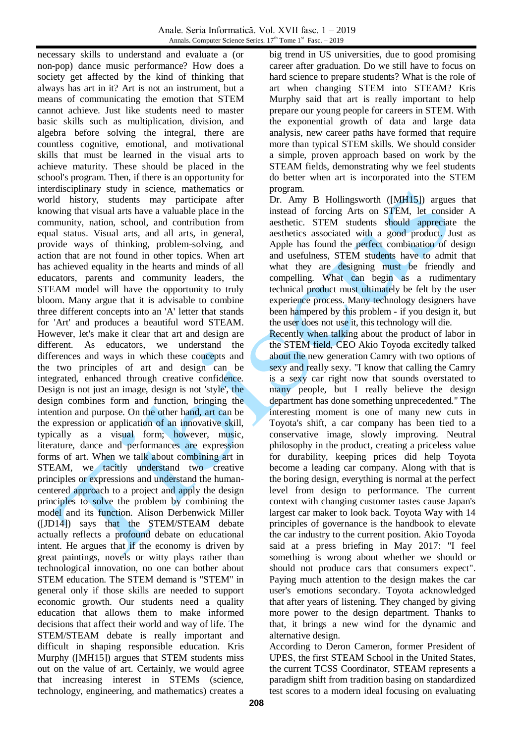necessary skills to understand and evaluate a (or non-pop) dance music performance? How does a society get affected by the kind of thinking that always has art in it? Art is not an instrument, but a means of communicating the emotion that STEM cannot achieve. Just like students need to master basic skills such as multiplication, division, and algebra before solving the integral, there are countless cognitive, emotional, and motivational skills that must be learned in the visual arts to achieve maturity. These should be placed in the school's program. Then, if there is an opportunity for interdisciplinary study in science, mathematics or world history, students may participate after knowing that visual arts have a valuable place in the community, nation, school, and contribution from equal status. Visual arts, and all arts, in general, provide ways of thinking, problem-solving, and action that are not found in other topics. When art has achieved equality in the hearts and minds of all educators, parents and community leaders, the STEAM model will have the opportunity to truly bloom. Many argue that it is advisable to combine three different concepts into an 'A' letter that stands for 'Art' and produces a beautiful word STEAM. However, let's make it clear that art and design are different. As educators, we understand the differences and ways in which these concepts and the two principles of art and design can be integrated, enhanced through creative confidence. Design is not just an image, design is not 'style', the design combines form and function, bringing the intention and purpose. On the other hand, art can be the expression or application of an innovative skill, typically as a visual form; however, music, literature, dance and performances are expression forms of art. When we talk about combining art in STEAM, we tacitly understand two creative principles or expressions and understand the humancentered approach to a project and apply the design principles to solve the problem by combining the model and its function. Alison Derbenwick Miller ([JD14]) says that the STEM/STEAM debate actually reflects a profound debate on educational intent. He argues that if the economy is driven by great paintings, novels or witty plays rather than technological innovation, no one can bother about STEM education. The STEM demand is "STEM" in general only if those skills are needed to support economic growth. Our students need a quality education that allows them to make informed decisions that affect their world and way of life. The STEM/STEAM debate is really important and difficult in shaping responsible education. Kris Murphy ([MH15]) argues that STEM students miss out on the value of art. Certainly, we would agree that increasing interest in STEMs (science, technology, engineering, and mathematics) creates a

big trend in US universities, due to good promising career after graduation. Do we still have to focus on hard science to prepare students? What is the role of art when changing STEM into STEAM? Kris Murphy said that art is really important to help prepare our young people for careers in STEM. With the exponential growth of data and large data analysis, new career paths have formed that require more than typical STEM skills. We should consider a simple, proven approach based on work by the STEAM fields, demonstrating why we feel students do better when art is incorporated into the STEM program.

Dr. Amy B Hollingsworth ([MH15]) argues that instead of forcing Arts on STEM, let consider A aesthetic. STEM students should appreciate the aesthetics associated with a good product. Just as Apple has found the perfect combination of design and usefulness, STEM students have to admit that what they are designing must be friendly and compelling. What can begin as a rudimentary technical product must ultimately be felt by the user experience process. Many technology designers have been hampered by this problem - if you design it, but the user does not use it, this technology will die.

Recently when talking about the product of labor in the STEM field, CEO Akio Toyoda excitedly talked about the new generation Camry with two options of sexy and really sexy. "I know that calling the Camry is a sexy car right now that sounds overstated to many people, but I really believe the design department has done something unprecedented." The interesting moment is one of many new cuts in Toyota's shift, a car company has been tied to a conservative image, slowly improving. Neutral philosophy in the product, creating a priceless value for durability, keeping prices did help Toyota become a leading car company. Along with that is the boring design, everything is normal at the perfect level from design to performance. The current context with changing customer tastes cause Japan's largest car maker to look back. Toyota Way with 14 principles of governance is the handbook to elevate the car industry to the current position. Akio Toyoda said at a press briefing in May 2017: "I feel something is wrong about whether we should or should not produce cars that consumers expect". Paying much attention to the design makes the car user's emotions secondary. Toyota acknowledged that after years of listening. They changed by giving more power to the design department. Thanks to that, it brings a new wind for the dynamic and alternative design.

According to Deron Cameron, former President of UPES, the first STEAM School in the United States, the current TCSS Coordinator, STEAM represents a paradigm shift from tradition basing on standardized test scores to a modern ideal focusing on evaluating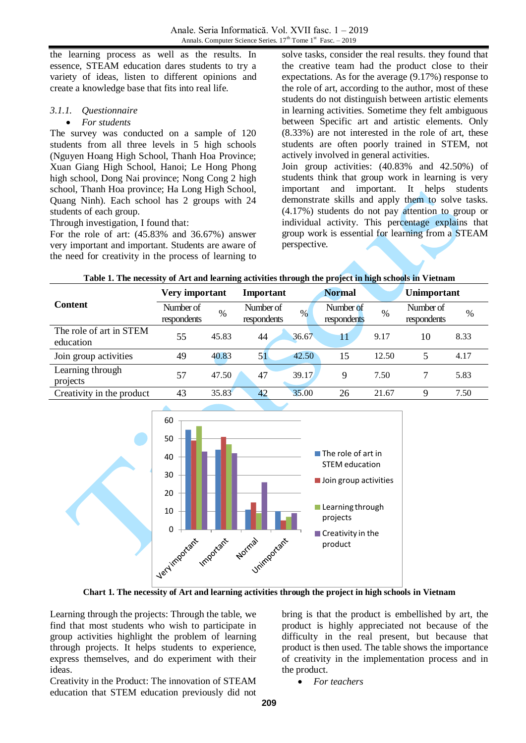the learning process as well as the results. In essence, STEAM education dares students to try a variety of ideas, listen to different opinions and create a knowledge base that fits into real life.

### *3.1.1. Questionnaire*

#### *For students*

The survey was conducted on a sample of 120 students from all three levels in 5 high schools (Nguyen Hoang High School, Thanh Hoa Province; Xuan Giang High School, Hanoi; Le Hong Phong high school, Dong Nai province; Nong Cong 2 high school, Thanh Hoa province; Ha Long High School, Quang Ninh). Each school has 2 groups with 24 students of each group.

Through investigation, I found that:

For the role of art: (45.83% and 36.67%) answer very important and important. Students are aware of the need for creativity in the process of learning to solve tasks, consider the real results. they found that the creative team had the product close to their expectations. As for the average (9.17%) response to the role of art, according to the author, most of these students do not distinguish between artistic elements in learning activities. Sometime they felt ambiguous between Specific art and artistic elements. Only (8.33%) are not interested in the role of art, these students are often poorly trained in STEM, not actively involved in general activities. Join group activities: (40.83% and 42.50%) of students think that group work in learning is very important and important. It helps students demonstrate skills and apply them to solve tasks. (4.17%) students do not pay attention to group or individual activity. This percentage explains that group work is essential for learning from a STEAM perspective.

| Table 1. The necessity of Art and learning activities through the project in high schools in Vietnam |  |
|------------------------------------------------------------------------------------------------------|--|
|------------------------------------------------------------------------------------------------------|--|

|                                      | Very important           |       | Important                        | <b>Normal</b>            | Unimportant |                          |               |
|--------------------------------------|--------------------------|-------|----------------------------------|--------------------------|-------------|--------------------------|---------------|
| <b>Content</b>                       | Number of<br>respondents | $\%$  | Number of<br>$\%$<br>respondents | Number of<br>respondents | $\%$        | Number of<br>respondents | $\frac{0}{0}$ |
| The role of art in STEM<br>education | 55                       | 45.83 | 44<br>36.67                      | 11                       | 9.17        | 10                       | 8.33          |
| Join group activities                | 49                       | 40.83 | 51<br>42.50                      | 15                       | 12.50       | 5                        | 4.17          |
| Learning through<br>projects         | 57                       | 47.50 | 47<br>39.17                      | 9                        | 7.50        |                          | 5.83          |
| Creativity in the product            | 43                       | 35.83 | 42<br>35.00                      | 26                       | 21.67       | 9                        | 7.50          |



**Chart 1. The necessity of Art and learning activities through the project in high schools in Vietnam**

Learning through the projects: Through the table, we find that most students who wish to participate in group activities highlight the problem of learning through projects. It helps students to experience, express themselves, and do experiment with their ideas.

Creativity in the Product: The innovation of STEAM education that STEM education previously did not bring is that the product is embellished by art, the product is highly appreciated not because of the difficulty in the real present, but because that product is then used. The table shows the importance of creativity in the implementation process and in the product.

*For teachers*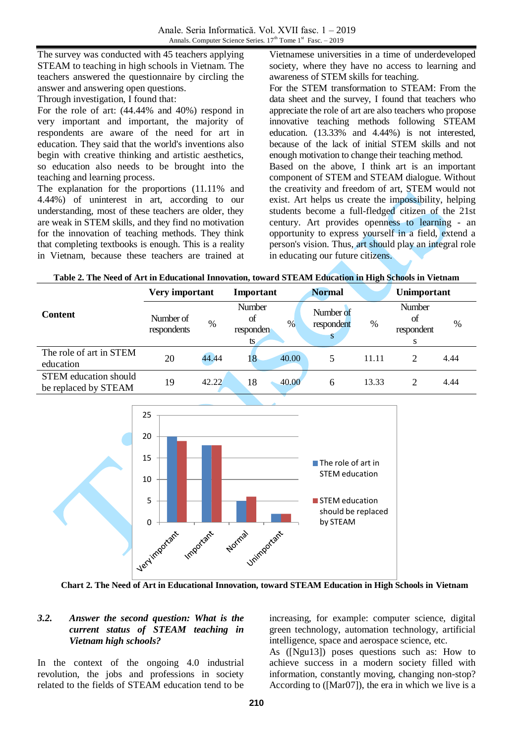The survey was conducted with 45 teachers applying STEAM to teaching in high schools in Vietnam. The teachers answered the questionnaire by circling the answer and answering open questions. Through investigation, I found that:

For the role of art: (44.44% and 40%) respond in very important and important, the majority of respondents are aware of the need for art in education. They said that the world's inventions also begin with creative thinking and artistic aesthetics, so education also needs to be brought into the teaching and learning process.

The explanation for the proportions (11.11% and 4.44%) of uninterest in art, according to our understanding, most of these teachers are older, they are weak in STEM skills, and they find no motivation for the innovation of teaching methods. They think that completing textbooks is enough. This is a reality in Vietnam, because these teachers are trained at Vietnamese universities in a time of underdeveloped society, where they have no access to learning and awareness of STEM skills for teaching.

For the STEM transformation to STEAM: From the data sheet and the survey, I found that teachers who appreciate the role of art are also teachers who propose innovative teaching methods following STEAM education. (13.33% and 4.44%) is not interested, because of the lack of initial STEM skills and not enough motivation to change their teaching method. Based on the above, I think art is an important component of STEM and STEAM dialogue. Without the creativity and freedom of art, STEM would not exist. Art helps us create the impossibility, helping students become a full-fledged citizen of the 21st

century. Art provides openness to learning - an opportunity to express yourself in a field, extend a person's vision. Thus, art should play an integral role in educating our future citizens.

|                                                      | Very important           |       | Important                                       | <b>Normal</b>           |       | Unimportant                            |      |
|------------------------------------------------------|--------------------------|-------|-------------------------------------------------|-------------------------|-------|----------------------------------------|------|
| <b>Content</b>                                       | Number of<br>respondents | $\%$  | <b>Number</b><br>of<br>$\%$<br>responden<br>ts. | Number of<br>respondent | %     | <b>Number</b><br>Οt<br>respondent<br>S | $\%$ |
| The role of art in STEM<br>education                 | 20                       | 44.44 | 40.00<br>18                                     |                         | 11.11 | 2                                      | 4.44 |
| <b>STEM</b> education should<br>be replaced by STEAM | 19                       | 42.22 | 18<br>40.00                                     | 6                       | 13.33 | 2                                      | 4.44 |



**Chart 2. The Need of Art in Educational Innovation, toward STEAM Education in High Schools in Vietnam**

#### *3.2. Answer the second question: What is the current status of STEAM teaching in Vietnam high schools?*

In the context of the ongoing 4.0 industrial revolution, the jobs and professions in society related to the fields of STEAM education tend to be

increasing, for example: computer science, digital green technology, automation technology, artificial intelligence, space and aerospace science, etc.

As ([Ngu13]) poses questions such as: How to achieve success in a modern society filled with information, constantly moving, changing non-stop? According to ([Mar07]), the era in which we live is a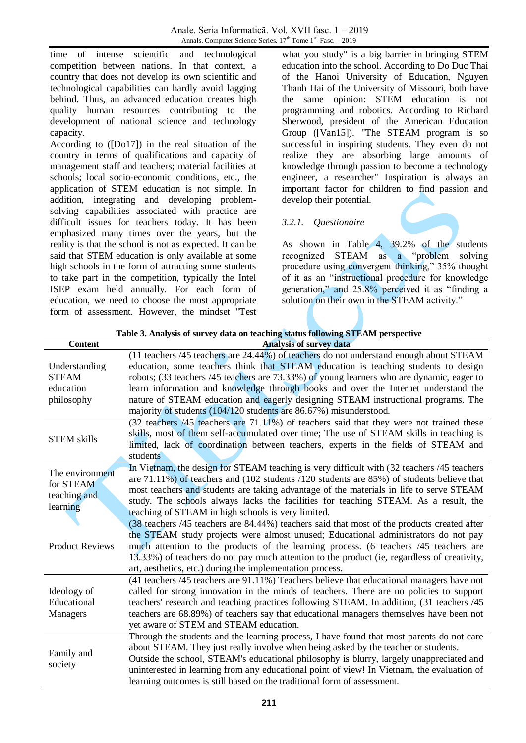time of intense scientific and technological competition between nations. In that context, a country that does not develop its own scientific and technological capabilities can hardly avoid lagging behind. Thus, an advanced education creates high quality human resources contributing to the development of national science and technology capacity.

According to ([Do17]) in the real situation of the country in terms of qualifications and capacity of management staff and teachers; material facilities at schools; local socio-economic conditions, etc., the application of STEM education is not simple. In addition, integrating and developing problemsolving capabilities associated with practice are difficult issues for teachers today. It has been emphasized many times over the years, but the reality is that the school is not as expected. It can be said that STEM education is only available at some high schools in the form of attracting some students to take part in the competition, typically the Intel ISEP exam held annually. For each form of education, we need to choose the most appropriate form of assessment. However, the mindset "Test

what you study" is a big barrier in bringing STEM education into the school. According to Do Duc Thai of the Hanoi University of Education, Nguyen Thanh Hai of the University of Missouri, both have the same opinion: STEM education is not programming and robotics. According to Richard Sherwood, president of the American Education Group ([Van15]). "The STEAM program is so successful in inspiring students. They even do not realize they are absorbing large amounts of knowledge through passion to become a technology engineer, a researcher" Inspiration is always an important factor for children to find passion and develop their potential.

# *3.2.1. Questionaire*

As shown in Table 4, 39.2% of the students recognized STEAM as a "problem solving procedure using convergent thinking," 35% thought of it as an "instructional procedure for knowledge generation," and 25.8% perceived it as "finding a solution on their own in the STEAM activity."

| Table 3. Analysis of survey data on teaching status following STEAM perspective |                                                                                                                                                                                                                                                                                                                                                                                                                                                                                                                           |  |  |  |  |
|---------------------------------------------------------------------------------|---------------------------------------------------------------------------------------------------------------------------------------------------------------------------------------------------------------------------------------------------------------------------------------------------------------------------------------------------------------------------------------------------------------------------------------------------------------------------------------------------------------------------|--|--|--|--|
| <b>Content</b>                                                                  | <b>Analysis of survey data</b>                                                                                                                                                                                                                                                                                                                                                                                                                                                                                            |  |  |  |  |
| Understanding<br><b>STEAM</b><br>education<br>philosophy                        | (11 teachers /45 teachers are 24.44%) of teachers do not understand enough about STEAM<br>education, some teachers think that STEAM education is teaching students to design<br>robots; (33 teachers /45 teachers are 73.33%) of young learners who are dynamic, eager to<br>learn information and knowledge through books and over the Internet understand the<br>nature of STEAM education and eagerly designing STEAM instructional programs. The<br>majority of students (104/120 students are 86.67%) misunderstood. |  |  |  |  |
| <b>STEM skills</b>                                                              | (32 teachers /45 teachers are 71.11%) of teachers said that they were not trained these<br>skills, most of them self-accumulated over time; The use of STEAM skills in teaching is<br>limited, lack of coordination between teachers, experts in the fields of STEAM and<br>students                                                                                                                                                                                                                                      |  |  |  |  |
| The environment<br>for STEAM<br>teaching and<br>learning                        | In Vietnam, the design for STEAM teaching is very difficult with (32 teachers /45 teachers<br>are $71.11\%$ ) of teachers and (102 students /120 students are 85%) of students believe that<br>most teachers and students are taking advantage of the materials in life to serve STEAM<br>study. The schools always lacks the facilities for teaching STEAM. As a result, the<br>teaching of STEAM in high schools is very limited.                                                                                       |  |  |  |  |
| <b>Product Reviews</b>                                                          | (38 teachers /45 teachers are 84.44%) teachers said that most of the products created after<br>the STEAM study projects were almost unused; Educational administrators do not pay<br>much attention to the products of the learning process. (6 teachers /45 teachers are<br>13.33%) of teachers do not pay much attention to the product (ie, regardless of creativity,<br>art, aesthetics, etc.) during the implementation process.                                                                                     |  |  |  |  |
| Ideology of<br>Educational<br>Managers                                          | (41 teachers /45 teachers are 91.11%) Teachers believe that educational managers have not<br>called for strong innovation in the minds of teachers. There are no policies to support<br>teachers' research and teaching practices following STEAM. In addition, (31 teachers /45)<br>teachers are 68.89%) of teachers say that educational managers themselves have been not<br>yet aware of STEM and STEAM education.                                                                                                    |  |  |  |  |
| Family and<br>society                                                           | Through the students and the learning process, I have found that most parents do not care<br>about STEAM. They just really involve when being asked by the teacher or students.<br>Outside the school, STEAM's educational philosophy is blurry, largely unappreciated and<br>uninterested in learning from any educational point of view! In Vietnam, the evaluation of<br>learning outcomes is still based on the traditional form of assessment.                                                                       |  |  |  |  |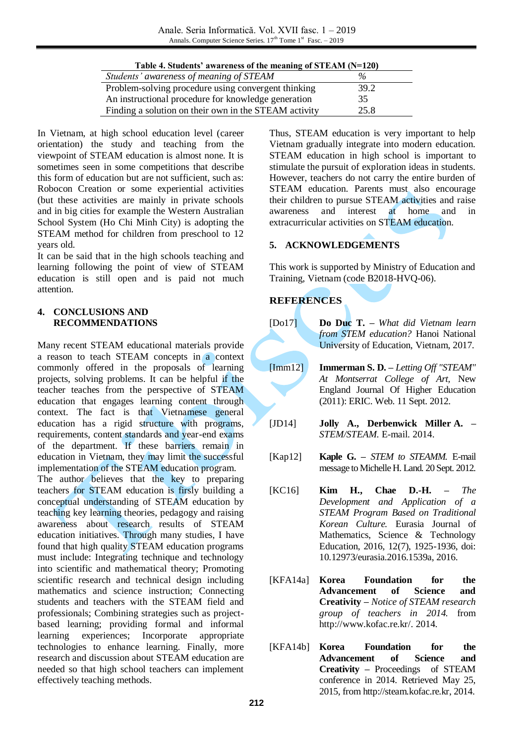| Table 4. Students' awareness of the meaning of STEAM (N=120) |  |
|--------------------------------------------------------------|--|
|--------------------------------------------------------------|--|

| Students' awareness of meaning of STEAM               | $\%$ |
|-------------------------------------------------------|------|
| Problem-solving procedure using convergent thinking   | 39.2 |
| An instructional procedure for knowledge generation   | 35   |
| Finding a solution on their own in the STEAM activity | 25.8 |

In Vietnam, at high school education level (career orientation) the study and teaching from the viewpoint of STEAM education is almost none. It is sometimes seen in some competitions that describe this form of education but are not sufficient, such as: Robocon Creation or some experiential activities (but these activities are mainly in private schools and in big cities for example the Western Australian School System (Ho Chi Minh City) is adopting the STEAM method for children from preschool to 12 years old.

It can be said that in the high schools teaching and learning following the point of view of STEAM education is still open and is paid not much attention.

#### **4. CONCLUSIONS AND RECOMMENDATIONS**

Many recent STEAM educational materials provide a reason to teach STEAM concepts in a context commonly offered in the proposals of learning projects, solving problems. It can be helpful if the teacher teaches from the perspective of STEAM education that engages learning content through context. The fact is that Vietnamese general education has a rigid structure with programs, requirements, content standards and year-end exams of the department. If these barriers remain in education in Vietnam, they may limit the successful implementation of the STEAM education program.

The author believes that the key to preparing teachers for STEAM education is firsly building a conceptual understanding of STEAM education by teaching key learning theories, pedagogy and raising awareness about research results of STEAM education initiatives. Through many studies, I have found that high quality STEAM education programs must include: Integrating technique and technology into scientific and mathematical theory; Promoting scientific research and technical design including mathematics and science instruction; Connecting students and teachers with the STEAM field and professionals; Combining strategies such as projectbased learning; providing formal and informal learning experiences; Incorporate appropriate technologies to enhance learning. Finally, more research and discussion about STEAM education are needed so that high school teachers can implement effectively teaching methods.

Thus, STEAM education is very important to help Vietnam gradually integrate into modern education. STEAM education in high school is important to stimulate the pursuit of exploration ideas in students. However, teachers do not carry the entire burden of STEAM education. Parents must also encourage their children to pursue STEAM activities and raise awareness and interest at home and in extracurricular activities on STEAM education.

# **5. ACKNOWLEDGEMENTS**

This work is supported by Ministry of Education and Training, Vietnam (code B2018-HVQ-06).

# **REFERENCES**

- [Do17] **Do Duc T. –** *What did Vietnam learn from STEM education?* Hanoi National University of Education, Vietnam, 2017.
- [Imm12] **Immerman S. D. –** *Letting Off "STEAM" At Montserrat College of Art,* New England Journal Of Higher Education (2011): ERIC. Web. 11 Sept. 2012.
- [JD14] **Jolly A., Derbenwick Miller A. –** *STEM/STEAM*. E-mail. 2014.
- [Kap12] **Kaple G. –** *STEM to STEAMM.* E-mail message to Michelle H. Land. 20 Sept. 2012.
- [KC16] **Kim H., Chae D.-H. –** *The Development and Application of a STEAM Program Based on Traditional Korean Culture.* Eurasia Journal of Mathematics, Science & Technology Education, 2016, 12(7), 1925-1936, doi: 10.12973/eurasia.2016.1539a, 2016.
- [KFA14a] **Korea Foundation for the Advancement of Science and Creativity –** *Notice of STEAM research group of teachers in 2014.* from [http://www.kofac.re.kr/.](http://www.kofac.re.kr/) 2014.
- [KFA14b] **Korea Foundation for the Advancement of Science and Creativity –** Proceedings of STEAM conference in 2014. Retrieved May 25, 2015, from [http://steam.kofac.re.kr,](http://steam.kofac.re.kr/) 2014.